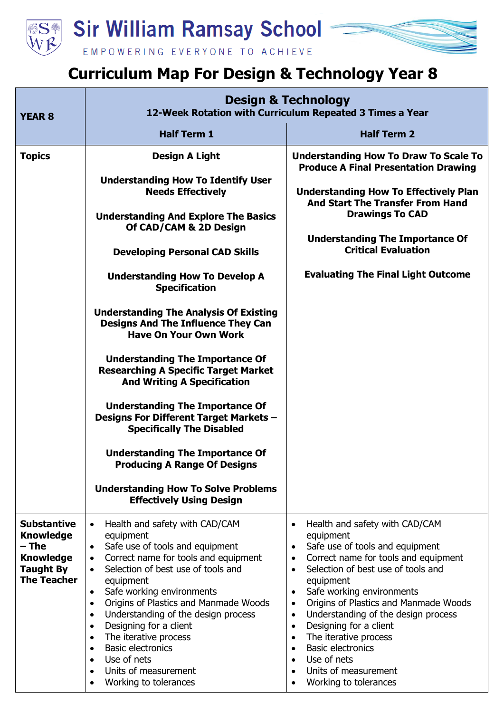

## **Curriculum Map For Design & Technology Year 8**

| <b>YEAR 8</b>                                                                                                 | <b>Design &amp; Technology</b><br>12-Week Rotation with Curriculum Repeated 3 Times a Year                                                                                                                                                                                                                                                                                                                                                                                                                                                                                                                                                                                                                                                                                                                                               |                                                                                                                                                                                                                                                                                                                                                                                                                                                                                                                                                                                                   |
|---------------------------------------------------------------------------------------------------------------|------------------------------------------------------------------------------------------------------------------------------------------------------------------------------------------------------------------------------------------------------------------------------------------------------------------------------------------------------------------------------------------------------------------------------------------------------------------------------------------------------------------------------------------------------------------------------------------------------------------------------------------------------------------------------------------------------------------------------------------------------------------------------------------------------------------------------------------|---------------------------------------------------------------------------------------------------------------------------------------------------------------------------------------------------------------------------------------------------------------------------------------------------------------------------------------------------------------------------------------------------------------------------------------------------------------------------------------------------------------------------------------------------------------------------------------------------|
|                                                                                                               | <b>Half Term 1</b>                                                                                                                                                                                                                                                                                                                                                                                                                                                                                                                                                                                                                                                                                                                                                                                                                       | <b>Half Term 2</b>                                                                                                                                                                                                                                                                                                                                                                                                                                                                                                                                                                                |
| <b>Topics</b>                                                                                                 | <b>Design A Light</b><br><b>Understanding How To Identify User</b><br><b>Needs Effectively</b><br><b>Understanding And Explore The Basics</b><br>Of CAD/CAM & 2D Design<br><b>Developing Personal CAD Skills</b><br><b>Understanding How To Develop A</b><br><b>Specification</b><br><b>Understanding The Analysis Of Existing</b><br><b>Designs And The Influence They Can</b><br><b>Have On Your Own Work</b><br><b>Understanding The Importance Of</b><br><b>Researching A Specific Target Market</b><br><b>And Writing A Specification</b><br><b>Understanding The Importance Of</b><br>Designs For Different Target Markets -<br><b>Specifically The Disabled</b><br><b>Understanding The Importance Of</b><br><b>Producing A Range Of Designs</b><br><b>Understanding How To Solve Problems</b><br><b>Effectively Using Design</b> | <b>Understanding How To Draw To Scale To</b><br><b>Produce A Final Presentation Drawing</b><br><b>Understanding How To Effectively Plan</b><br><b>And Start The Transfer From Hand</b><br><b>Drawings To CAD</b><br><b>Understanding The Importance Of</b><br><b>Critical Evaluation</b><br><b>Evaluating The Final Light Outcome</b>                                                                                                                                                                                                                                                             |
| <b>Substantive</b><br><b>Knowledge</b><br>– The<br><b>Knowledge</b><br><b>Taught By</b><br><b>The Teacher</b> | Health and safety with CAD/CAM<br>$\bullet$<br>equipment<br>Safe use of tools and equipment<br>Correct name for tools and equipment<br>$\bullet$<br>Selection of best use of tools and<br>$\bullet$<br>equipment<br>Safe working environments<br>$\bullet$<br>Origins of Plastics and Manmade Woods<br>$\bullet$<br>Understanding of the design process<br>$\bullet$<br>Designing for a client<br>$\bullet$<br>The iterative process<br>$\bullet$<br><b>Basic electronics</b><br>$\bullet$<br>Use of nets<br>$\bullet$<br>Units of measurement<br>$\bullet$<br>Working to tolerances                                                                                                                                                                                                                                                     | Health and safety with CAD/CAM<br>$\bullet$<br>equipment<br>Safe use of tools and equipment<br>$\bullet$<br>Correct name for tools and equipment<br>$\bullet$<br>Selection of best use of tools and<br>$\bullet$<br>equipment<br>Safe working environments<br>$\bullet$<br>Origins of Plastics and Manmade Woods<br>$\bullet$<br>Understanding of the design process<br>$\bullet$<br>Designing for a client<br>$\bullet$<br>The iterative process<br>$\bullet$<br><b>Basic electronics</b><br>$\bullet$<br>Use of nets<br>$\bullet$<br>Units of measurement<br>$\bullet$<br>Working to tolerances |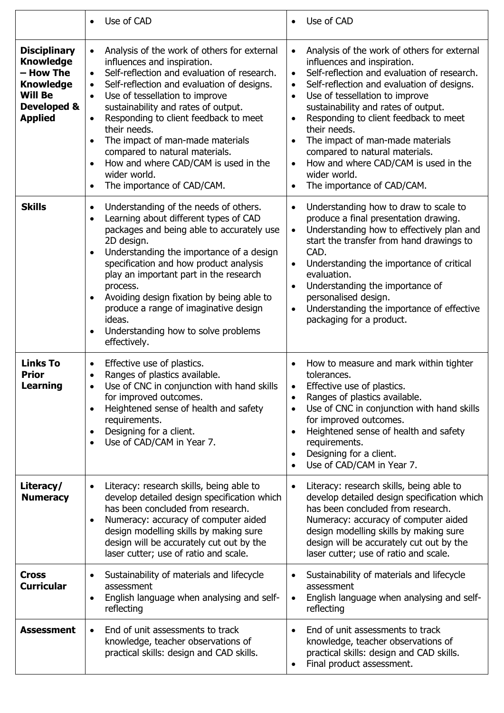|                                                                                                                             | Use of CAD                                                                                                                                                                                                                                                                                                                                                                                                                                                                                                                                                       | Use of CAD                                                                                                                                                                                                                                                                                                                                                                                                                                                                         |
|-----------------------------------------------------------------------------------------------------------------------------|------------------------------------------------------------------------------------------------------------------------------------------------------------------------------------------------------------------------------------------------------------------------------------------------------------------------------------------------------------------------------------------------------------------------------------------------------------------------------------------------------------------------------------------------------------------|------------------------------------------------------------------------------------------------------------------------------------------------------------------------------------------------------------------------------------------------------------------------------------------------------------------------------------------------------------------------------------------------------------------------------------------------------------------------------------|
| <b>Disciplinary</b><br><b>Knowledge</b><br>– How The<br><b>Knowledge</b><br><b>Will Be</b><br>Developed &<br><b>Applied</b> | Analysis of the work of others for external<br>$\bullet$<br>influences and inspiration.<br>Self-reflection and evaluation of research.<br>$\bullet$<br>Self-reflection and evaluation of designs.<br>$\bullet$<br>Use of tessellation to improve<br>$\bullet$<br>sustainability and rates of output.<br>Responding to client feedback to meet<br>$\bullet$<br>their needs.<br>The impact of man-made materials<br>compared to natural materials.<br>How and where CAD/CAM is used in the<br>$\bullet$<br>wider world.<br>The importance of CAD/CAM.<br>$\bullet$ | Analysis of the work of others for external<br>influences and inspiration.<br>Self-reflection and evaluation of research.<br>$\bullet$<br>Self-reflection and evaluation of designs.<br>Use of tessellation to improve<br>sustainability and rates of output.<br>Responding to client feedback to meet<br>their needs.<br>The impact of man-made materials<br>compared to natural materials.<br>How and where CAD/CAM is used in the<br>wider world.<br>The importance of CAD/CAM. |
| <b>Skills</b>                                                                                                               | Understanding of the needs of others.<br>$\bullet$<br>Learning about different types of CAD<br>$\bullet$<br>packages and being able to accurately use<br>2D design.<br>Understanding the importance of a design<br>$\bullet$<br>specification and how product analysis<br>play an important part in the research<br>process.<br>Avoiding design fixation by being able to<br>produce a range of imaginative design<br>ideas.<br>Understanding how to solve problems<br>$\bullet$<br>effectively.                                                                 | Understanding how to draw to scale to<br>produce a final presentation drawing.<br>Understanding how to effectively plan and<br>$\bullet$<br>start the transfer from hand drawings to<br>CAD.<br>Understanding the importance of critical<br>evaluation.<br>Understanding the importance of<br>personalised design.<br>Understanding the importance of effective<br>packaging for a product.                                                                                        |
| <b>Links To</b><br><b>Prior</b><br><b>Learning</b>                                                                          | Effective use of plastics.<br>$\bullet$<br>Ranges of plastics available.<br>$\bullet$<br>Use of CNC in conjunction with hand skills<br>$\bullet$<br>for improved outcomes.<br>Heightened sense of health and safety<br>$\bullet$<br>requirements.<br>Designing for a client.<br>٠<br>Use of CAD/CAM in Year 7.<br>$\bullet$                                                                                                                                                                                                                                      | How to measure and mark within tighter<br>tolerances.<br>Effective use of plastics.<br>Ranges of plastics available.<br>Use of CNC in conjunction with hand skills<br>for improved outcomes.<br>Heightened sense of health and safety<br>requirements.<br>Designing for a client.<br>$\bullet$<br>Use of CAD/CAM in Year 7.                                                                                                                                                        |
| Literacy/<br><b>Numeracy</b>                                                                                                | Literacy: research skills, being able to<br>develop detailed design specification which<br>has been concluded from research.<br>Numeracy: accuracy of computer aided<br>$\bullet$<br>design modelling skills by making sure<br>design will be accurately cut out by the<br>laser cutter; use of ratio and scale.                                                                                                                                                                                                                                                 | Literacy: research skills, being able to<br>develop detailed design specification which<br>has been concluded from research.<br>Numeracy: accuracy of computer aided<br>design modelling skills by making sure<br>design will be accurately cut out by the<br>laser cutter; use of ratio and scale.                                                                                                                                                                                |
| <b>Cross</b><br><b>Curricular</b>                                                                                           | Sustainability of materials and lifecycle<br>assessment<br>English language when analysing and self-<br>reflecting                                                                                                                                                                                                                                                                                                                                                                                                                                               | Sustainability of materials and lifecycle<br>assessment<br>English language when analysing and self-<br>reflecting                                                                                                                                                                                                                                                                                                                                                                 |
| <b>Assessment</b>                                                                                                           | End of unit assessments to track<br>$\bullet$<br>knowledge, teacher observations of<br>practical skills: design and CAD skills.                                                                                                                                                                                                                                                                                                                                                                                                                                  | End of unit assessments to track<br>knowledge, teacher observations of<br>practical skills: design and CAD skills.<br>Final product assessment.                                                                                                                                                                                                                                                                                                                                    |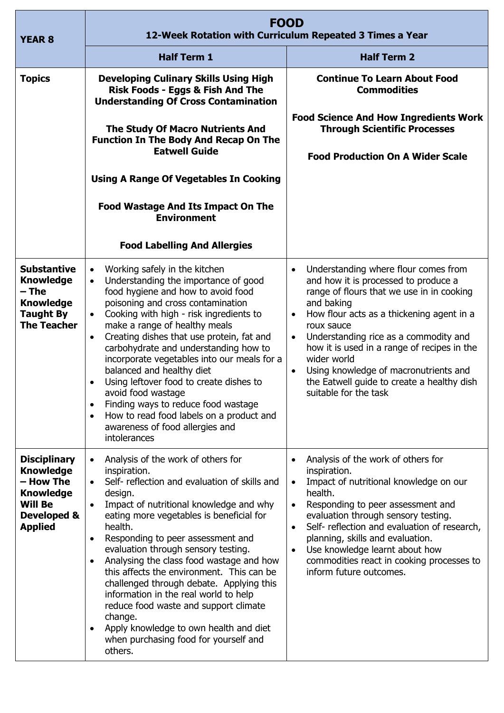| <b>YEAR 8</b>                                                                                                               | <b>FOOD</b><br>12-Week Rotation with Curriculum Repeated 3 Times a Year                                                                                                                                                                                                                                                                                                                                                                                                                                                                                                                                                                                                                       |                                                                                                                                                                                                                                                                                                                                                                                                                                                                  |
|-----------------------------------------------------------------------------------------------------------------------------|-----------------------------------------------------------------------------------------------------------------------------------------------------------------------------------------------------------------------------------------------------------------------------------------------------------------------------------------------------------------------------------------------------------------------------------------------------------------------------------------------------------------------------------------------------------------------------------------------------------------------------------------------------------------------------------------------|------------------------------------------------------------------------------------------------------------------------------------------------------------------------------------------------------------------------------------------------------------------------------------------------------------------------------------------------------------------------------------------------------------------------------------------------------------------|
|                                                                                                                             | <b>Half Term 1</b>                                                                                                                                                                                                                                                                                                                                                                                                                                                                                                                                                                                                                                                                            | <b>Half Term 2</b>                                                                                                                                                                                                                                                                                                                                                                                                                                               |
| <b>Topics</b>                                                                                                               | <b>Developing Culinary Skills Using High</b><br>Risk Foods - Eggs & Fish And The<br><b>Understanding Of Cross Contamination</b>                                                                                                                                                                                                                                                                                                                                                                                                                                                                                                                                                               | <b>Continue To Learn About Food</b><br><b>Commodities</b>                                                                                                                                                                                                                                                                                                                                                                                                        |
|                                                                                                                             | <b>The Study Of Macro Nutrients And</b><br><b>Function In The Body And Recap On The</b><br><b>Eatwell Guide</b>                                                                                                                                                                                                                                                                                                                                                                                                                                                                                                                                                                               | <b>Food Science And How Ingredients Work</b><br><b>Through Scientific Processes</b><br><b>Food Production On A Wider Scale</b>                                                                                                                                                                                                                                                                                                                                   |
|                                                                                                                             | <b>Using A Range Of Vegetables In Cooking</b>                                                                                                                                                                                                                                                                                                                                                                                                                                                                                                                                                                                                                                                 |                                                                                                                                                                                                                                                                                                                                                                                                                                                                  |
|                                                                                                                             | <b>Food Wastage And Its Impact On The</b><br><b>Environment</b>                                                                                                                                                                                                                                                                                                                                                                                                                                                                                                                                                                                                                               |                                                                                                                                                                                                                                                                                                                                                                                                                                                                  |
|                                                                                                                             | <b>Food Labelling And Allergies</b>                                                                                                                                                                                                                                                                                                                                                                                                                                                                                                                                                                                                                                                           |                                                                                                                                                                                                                                                                                                                                                                                                                                                                  |
| <b>Substantive</b><br><b>Knowledge</b><br>– The<br><b>Knowledge</b><br><b>Taught By</b><br><b>The Teacher</b>               | Working safely in the kitchen<br>$\bullet$<br>Understanding the importance of good<br>food hygiene and how to avoid food<br>poisoning and cross contamination<br>Cooking with high - risk ingredients to<br>$\bullet$<br>make a range of healthy meals<br>Creating dishes that use protein, fat and<br>$\bullet$<br>carbohydrate and understanding how to<br>incorporate vegetables into our meals for a<br>balanced and healthy diet<br>Using leftover food to create dishes to<br>$\bullet$<br>avoid food wastage<br>Finding ways to reduce food wastage<br>$\bullet$<br>How to read food labels on a product and<br>$\bullet$<br>awareness of food allergies and<br>intolerances           | Understanding where flour comes from<br>$\bullet$<br>and how it is processed to produce a<br>range of flours that we use in in cooking<br>and baking<br>How flour acts as a thickening agent in a<br>$\bullet$<br>roux sauce<br>Understanding rice as a commodity and<br>how it is used in a range of recipes in the<br>wider world<br>Using knowledge of macronutrients and<br>$\bullet$<br>the Eatwell guide to create a healthy dish<br>suitable for the task |
| <b>Disciplinary</b><br><b>Knowledge</b><br>– How The<br><b>Knowledge</b><br><b>Will Be</b><br>Developed &<br><b>Applied</b> | Analysis of the work of others for<br>$\bullet$<br>inspiration.<br>Self- reflection and evaluation of skills and<br>design.<br>Impact of nutritional knowledge and why<br>$\bullet$<br>eating more vegetables is beneficial for<br>health.<br>Responding to peer assessment and<br>$\bullet$<br>evaluation through sensory testing.<br>Analysing the class food wastage and how<br>$\bullet$<br>this affects the environment. This can be<br>challenged through debate. Applying this<br>information in the real world to help<br>reduce food waste and support climate<br>change.<br>Apply knowledge to own health and diet<br>$\bullet$<br>when purchasing food for yourself and<br>others. | Analysis of the work of others for<br>$\bullet$<br>inspiration.<br>Impact of nutritional knowledge on our<br>$\bullet$<br>health.<br>Responding to peer assessment and<br>evaluation through sensory testing.<br>Self- reflection and evaluation of research,<br>$\bullet$<br>planning, skills and evaluation.<br>Use knowledge learnt about how<br>$\bullet$<br>commodities react in cooking processes to<br>inform future outcomes.                            |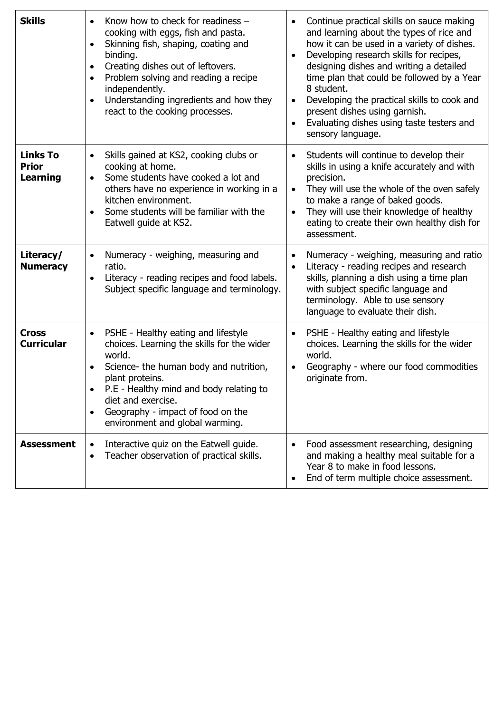| <b>Skills</b>                                      | Know how to check for readiness -<br>$\bullet$<br>cooking with eggs, fish and pasta.<br>Skinning fish, shaping, coating and<br>binding.<br>Creating dishes out of leftovers.<br>$\bullet$<br>Problem solving and reading a recipe<br>$\bullet$<br>independently.<br>Understanding ingredients and how they<br>react to the cooking processes. | Continue practical skills on sauce making<br>and learning about the types of rice and<br>how it can be used in a variety of dishes.<br>Developing research skills for recipes,<br>designing dishes and writing a detailed<br>time plan that could be followed by a Year<br>8 student.<br>Developing the practical skills to cook and<br>present dishes using garnish.<br>Evaluating dishes using taste testers and<br>sensory language. |
|----------------------------------------------------|-----------------------------------------------------------------------------------------------------------------------------------------------------------------------------------------------------------------------------------------------------------------------------------------------------------------------------------------------|-----------------------------------------------------------------------------------------------------------------------------------------------------------------------------------------------------------------------------------------------------------------------------------------------------------------------------------------------------------------------------------------------------------------------------------------|
| <b>Links To</b><br><b>Prior</b><br><b>Learning</b> | Skills gained at KS2, cooking clubs or<br>cooking at home.<br>Some students have cooked a lot and<br>$\bullet$<br>others have no experience in working in a<br>kitchen environment.<br>Some students will be familiar with the<br>Eatwell guide at KS2.                                                                                       | Students will continue to develop their<br>$\bullet$<br>skills in using a knife accurately and with<br>precision.<br>They will use the whole of the oven safely<br>$\bullet$<br>to make a range of baked goods.<br>They will use their knowledge of healthy<br>eating to create their own healthy dish for<br>assessment.                                                                                                               |
| Literacy/<br><b>Numeracy</b>                       | Numeracy - weighing, measuring and<br>$\bullet$<br>ratio.<br>Literacy - reading recipes and food labels.<br>Subject specific language and terminology.                                                                                                                                                                                        | Numeracy - weighing, measuring and ratio<br>$\bullet$<br>Literacy - reading recipes and research<br>skills, planning a dish using a time plan<br>with subject specific language and<br>terminology. Able to use sensory<br>language to evaluate their dish.                                                                                                                                                                             |
| <b>Cross</b><br><b>Curricular</b>                  | PSHE - Healthy eating and lifestyle<br>choices. Learning the skills for the wider<br>world.<br>Science- the human body and nutrition,<br>plant proteins.<br>P.E - Healthy mind and body relating to<br>diet and exercise.<br>Geography - impact of food on the<br>environment and global warming.                                             | PSHE - Healthy eating and lifestyle<br>choices. Learning the skills for the wider<br>world.<br>Geography - where our food commodities<br>originate from.                                                                                                                                                                                                                                                                                |
| <b>Assessment</b>                                  | Interactive quiz on the Eatwell guide.<br>Teacher observation of practical skills.<br>$\bullet$                                                                                                                                                                                                                                               | Food assessment researching, designing<br>and making a healthy meal suitable for a<br>Year 8 to make in food lessons.<br>End of term multiple choice assessment.                                                                                                                                                                                                                                                                        |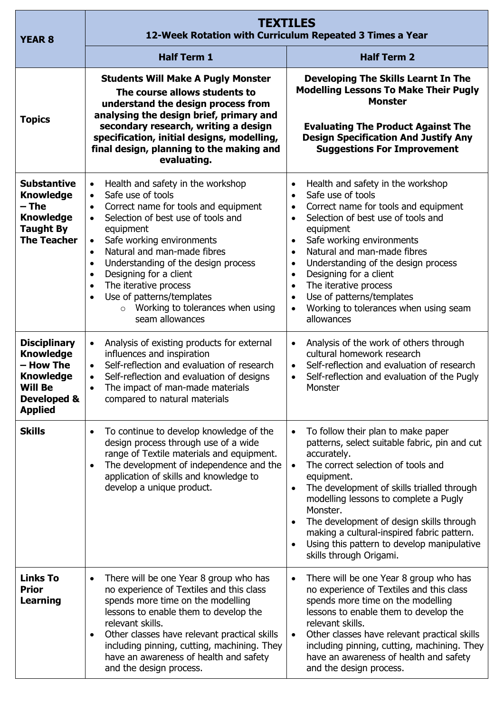| <b>YEAR 8</b>                                                                                                               | <b>TEXTILES</b><br>12-Week Rotation with Curriculum Repeated 3 Times a Year                                                                                                                                                                                                                                                                                                                                                                                                                                                 |                                                                                                                                                                                                                                                                                                                                                                                                                                                                                                                                            |
|-----------------------------------------------------------------------------------------------------------------------------|-----------------------------------------------------------------------------------------------------------------------------------------------------------------------------------------------------------------------------------------------------------------------------------------------------------------------------------------------------------------------------------------------------------------------------------------------------------------------------------------------------------------------------|--------------------------------------------------------------------------------------------------------------------------------------------------------------------------------------------------------------------------------------------------------------------------------------------------------------------------------------------------------------------------------------------------------------------------------------------------------------------------------------------------------------------------------------------|
|                                                                                                                             | <b>Half Term 1</b>                                                                                                                                                                                                                                                                                                                                                                                                                                                                                                          | <b>Half Term 2</b>                                                                                                                                                                                                                                                                                                                                                                                                                                                                                                                         |
| <b>Topics</b>                                                                                                               | <b>Students Will Make A Pugly Monster</b><br>The course allows students to<br>understand the design process from<br>analysing the design brief, primary and<br>secondary research, writing a design<br>specification, initial designs, modelling,<br>final design, planning to the making and<br>evaluating.                                                                                                                                                                                                                | <b>Developing The Skills Learnt In The</b><br><b>Modelling Lessons To Make Their Pugly</b><br><b>Monster</b><br><b>Evaluating The Product Against The</b><br><b>Design Specification And Justify Any</b><br><b>Suggestions For Improvement</b>                                                                                                                                                                                                                                                                                             |
| <b>Substantive</b><br><b>Knowledge</b><br>$-$ The<br><b>Knowledge</b><br><b>Taught By</b><br><b>The Teacher</b>             | Health and safety in the workshop<br>$\bullet$<br>Safe use of tools<br>$\bullet$<br>Correct name for tools and equipment<br>Selection of best use of tools and<br>$\bullet$<br>equipment<br>Safe working environments<br>$\bullet$<br>Natural and man-made fibres<br>$\bullet$<br>Understanding of the design process<br>$\bullet$<br>Designing for a client<br>$\bullet$<br>The iterative process<br>$\bullet$<br>Use of patterns/templates<br>$\bullet$<br>Working to tolerances when using<br>$\circ$<br>seam allowances | Health and safety in the workshop<br>$\bullet$<br>Safe use of tools<br>$\bullet$<br>Correct name for tools and equipment<br>$\bullet$<br>Selection of best use of tools and<br>$\bullet$<br>equipment<br>Safe working environments<br>$\bullet$<br>Natural and man-made fibres<br>$\bullet$<br>Understanding of the design process<br>$\bullet$<br>Designing for a client<br>$\bullet$<br>The iterative process<br>$\bullet$<br>Use of patterns/templates<br>$\bullet$<br>Working to tolerances when using seam<br>$\bullet$<br>allowances |
| <b>Disciplinary</b><br><b>Knowledge</b><br>- How The<br><b>Knowledge</b><br><b>Will Be</b><br>Developed &<br><b>Applied</b> | Analysis of existing products for external<br>$\bullet$<br>influences and inspiration<br>Self-reflection and evaluation of research<br>$\bullet$<br>Self-reflection and evaluation of designs<br>The impact of man-made materials<br>compared to natural materials                                                                                                                                                                                                                                                          | Analysis of the work of others through<br>$\bullet$<br>cultural homework research<br>Self-reflection and evaluation of research<br>$\bullet$<br>Self-reflection and evaluation of the Pugly<br>Monster                                                                                                                                                                                                                                                                                                                                     |
| <b>Skills</b>                                                                                                               | To continue to develop knowledge of the<br>design process through use of a wide<br>range of Textile materials and equipment.<br>The development of independence and the<br>$\bullet$<br>application of skills and knowledge to<br>develop a unique product.                                                                                                                                                                                                                                                                 | To follow their plan to make paper<br>$\bullet$<br>patterns, select suitable fabric, pin and cut<br>accurately.<br>The correct selection of tools and<br>$\bullet$<br>equipment.<br>The development of skills trialled through<br>$\bullet$<br>modelling lessons to complete a Pugly<br>Monster.<br>The development of design skills through<br>$\bullet$<br>making a cultural-inspired fabric pattern.<br>Using this pattern to develop manipulative<br>$\bullet$<br>skills through Origami.                                              |
| <b>Links To</b><br><b>Prior</b><br><b>Learning</b>                                                                          | There will be one Year 8 group who has<br>$\bullet$<br>no experience of Textiles and this class<br>spends more time on the modelling<br>lessons to enable them to develop the<br>relevant skills.<br>Other classes have relevant practical skills<br>$\bullet$<br>including pinning, cutting, machining. They<br>have an awareness of health and safety<br>and the design process.                                                                                                                                          | There will be one Year 8 group who has<br>$\bullet$<br>no experience of Textiles and this class<br>spends more time on the modelling<br>lessons to enable them to develop the<br>relevant skills.<br>Other classes have relevant practical skills<br>$\bullet$<br>including pinning, cutting, machining. They<br>have an awareness of health and safety<br>and the design process.                                                                                                                                                         |